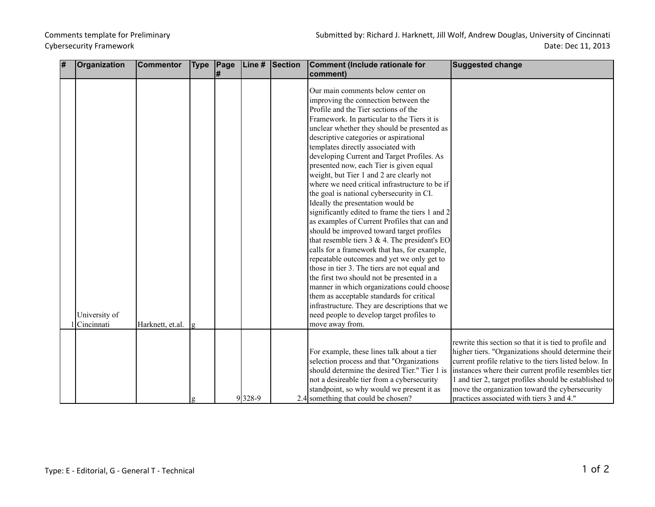## Cybersecurity Framework

| comment)<br>I#                                                                                  |                                                        |
|-------------------------------------------------------------------------------------------------|--------------------------------------------------------|
|                                                                                                 |                                                        |
|                                                                                                 |                                                        |
| Our main comments below center on                                                               |                                                        |
| improving the connection between the                                                            |                                                        |
| Profile and the Tier sections of the                                                            |                                                        |
| Framework. In particular to the Tiers it is                                                     |                                                        |
| unclear whether they should be presented as                                                     |                                                        |
| descriptive categories or aspirational                                                          |                                                        |
| templates directly associated with                                                              |                                                        |
| developing Current and Target Profiles. As                                                      |                                                        |
| presented now, each Tier is given equal                                                         |                                                        |
| weight, but Tier 1 and 2 are clearly not                                                        |                                                        |
| where we need critical infrastructure to be if                                                  |                                                        |
| the goal is national cybersecurity in CI.                                                       |                                                        |
| Ideally the presentation would be                                                               |                                                        |
| significantly edited to frame the tiers 1 and 2                                                 |                                                        |
| as examples of Current Profiles that can and                                                    |                                                        |
| should be improved toward target profiles                                                       |                                                        |
| that resemble tiers $3 \& 4$ . The president's EO                                               |                                                        |
| calls for a framework that has, for example,                                                    |                                                        |
| repeatable outcomes and yet we only get to                                                      |                                                        |
| those in tier 3. The tiers are not equal and                                                    |                                                        |
| the first two should not be presented in a                                                      |                                                        |
| manner in which organizations could choose                                                      |                                                        |
| them as acceptable standards for critical                                                       |                                                        |
| infrastructure. They are descriptions that we                                                   |                                                        |
| University of<br>need people to develop target profiles to                                      |                                                        |
| Cincinnati<br>Harknett, et.al.<br>move away from.<br>g                                          |                                                        |
|                                                                                                 | rewrite this section so that it is tied to profile and |
| For example, these lines talk about a tier                                                      | higher tiers. "Organizations should determine their    |
| selection process and that "Organizations                                                       | current profile relative to the tiers listed below. In |
| should determine the desired Tier." Tier 1 is                                                   | instances where their current profile resembles tier   |
| not a desireable tier from a cybersecurity                                                      | 1 and tier 2, target profiles should be established to |
|                                                                                                 | move the organization toward the cybersecurity         |
| standpoint, so why would we present it as<br>9328-9<br>2.4 something that could be chosen?<br>g | practices associated with tiers 3 and 4."              |